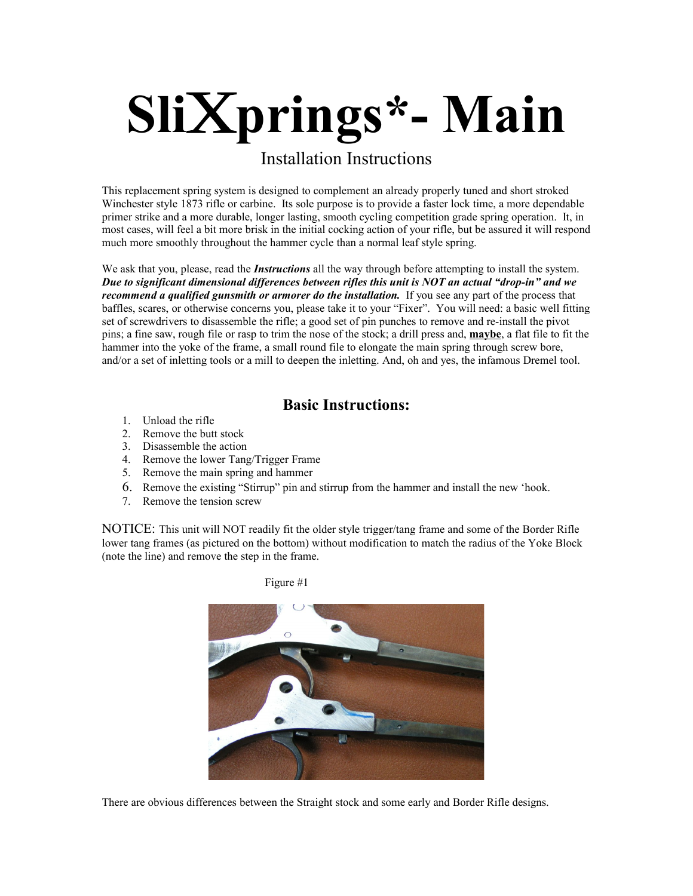# **Sli**x**prings\*- Main**

# Installation Instructions

This replacement spring system is designed to complement an already properly tuned and short stroked Winchester style 1873 rifle or carbine. Its sole purpose is to provide a faster lock time, a more dependable primer strike and a more durable, longer lasting, smooth cycling competition grade spring operation. It, in most cases, will feel a bit more brisk in the initial cocking action of your rifle, but be assured it will respond much more smoothly throughout the hammer cycle than a normal leaf style spring.

We ask that you, please, read the *Instructions* all the way through before attempting to install the system. *Due to significant dimensional differences between rifles this unit is NOT an actual "drop-in" and we recommend a qualified gunsmith or armorer do the installation.* If you see any part of the process that baffles, scares, or otherwise concerns you, please take it to your "Fixer". You will need: a basic well fitting set of screwdrivers to disassemble the rifle; a good set of pin punches to remove and re-install the pivot pins; a fine saw, rough file or rasp to trim the nose of the stock; a drill press and, **maybe**, a flat file to fit the hammer into the yoke of the frame, a small round file to elongate the main spring through screw bore, and/or a set of inletting tools or a mill to deepen the inletting. And, oh and yes, the infamous Dremel tool.

## **Basic Instructions:**

- 1. Unload the rifle
- 2. Remove the butt stock
- 3. Disassemble the action
- 4. Remove the lower Tang/Trigger Frame
- 5. Remove the main spring and hammer
- 6. Remove the existing "Stirrup" pin and stirrup from the hammer and install the new 'hook.
- 7. Remove the tension screw

NOTICE: This unit will NOT readily fit the older style trigger/tang frame and some of the Border Rifle lower tang frames (as pictured on the bottom) without modification to match the radius of the Yoke Block (note the line) and remove the step in the frame.



There are obvious differences between the Straight stock and some early and Border Rifle designs.

Figure #1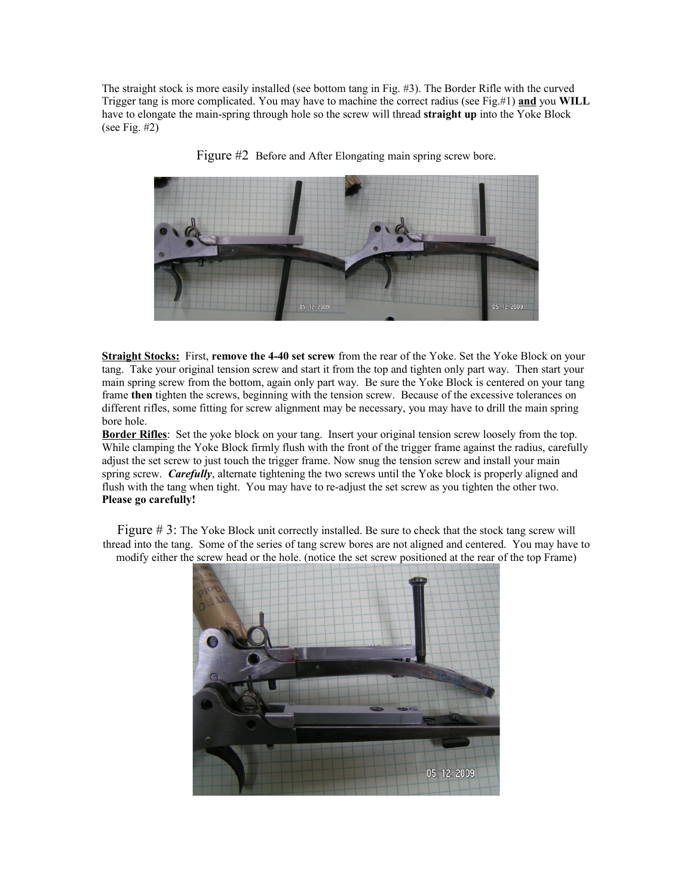The straight stock is more easily installed (see bottom tang in Fig. #3). The Border Rifle with the curved Trigger tang is more complicated. You may have to machine the correct radius (see Fig.#1) **and** you **WILL** have to elongate the main-spring through hole so the screw will thread **straight up** into the Yoke Block (see Fig.  $#2$ )



Figure #2 Before and After Elongating main spring screw bore.

**Straight Stocks:** First, **remove the 4-40 set screw** from the rear of the Yoke. Set the Yoke Block on your tang. Take your original tension screw and start it from the top and tighten only part way. Then start your main spring screw from the bottom, again only part way. Be sure the Yoke Block is centered on your tang frame **then** tighten the screws, beginning with the tension screw. Because of the excessive tolerances on different rifles, some fitting for screw alignment may be necessary, you may have to drill the main spring bore hole.

**Border Rifles**: Set the yoke block on your tang. Insert your original tension screw loosely from the top. While clamping the Yoke Block firmly flush with the front of the trigger frame against the radius, carefully adjust the set screw to just touch the trigger frame. Now snug the tension screw and install your main spring screw. *Carefully*, alternate tightening the two screws until the Yoke block is properly aligned and flush with the tang when tight. You may have to re-adjust the set screw as you tighten the other two. **Please go carefully!**

Figure # 3: The Yoke Block unit correctly installed. Be sure to check that the stock tang screw will thread into the tang. Some of the series of tang screw bores are not aligned and centered. You may have to modify either the screw head or the hole. (notice the set screw positioned at the rear of the top Frame)

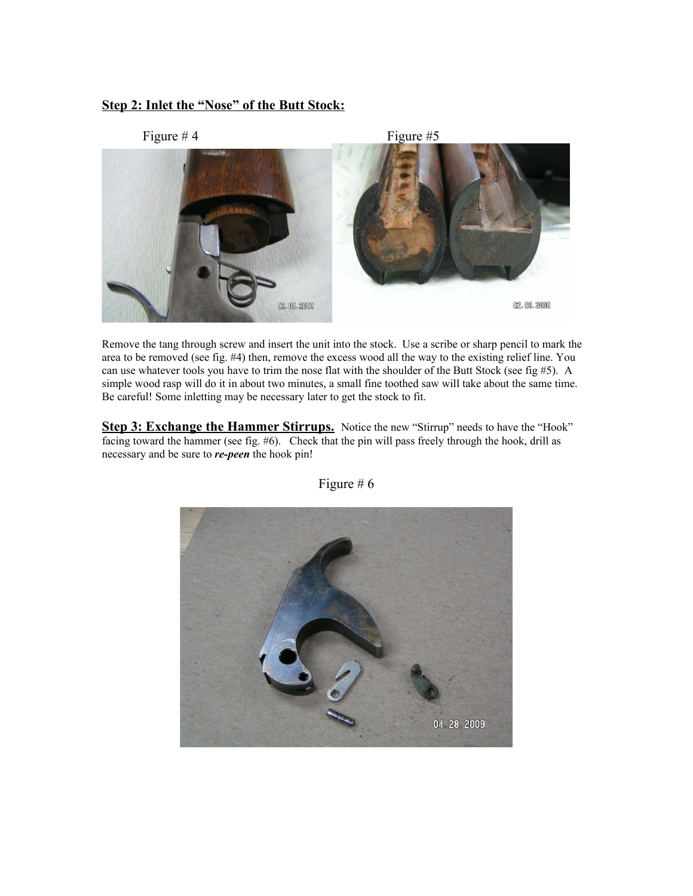### **Step 2: Inlet the "Nose" of the Butt Stock:**



Remove the tang through screw and insert the unit into the stock. Use a scribe or sharp pencil to mark the area to be removed (see fig. #4) then, remove the excess wood all the way to the existing relief line. You can use whatever tools you have to trim the nose flat with the shoulder of the Butt Stock (see fig  $#5$ ). A simple wood rasp will do it in about two minutes, a small fine toothed saw will take about the same time. Be careful! Some inletting may be necessary later to get the stock to fit.

**Step 3: Exchange the Hammer Stirrups.** Notice the new "Stirrup" needs to have the "Hook" facing toward the hammer (see fig. #6). Check that the pin will pass freely through the hook, drill as necessary and be sure to *re-peen* the hook pin!